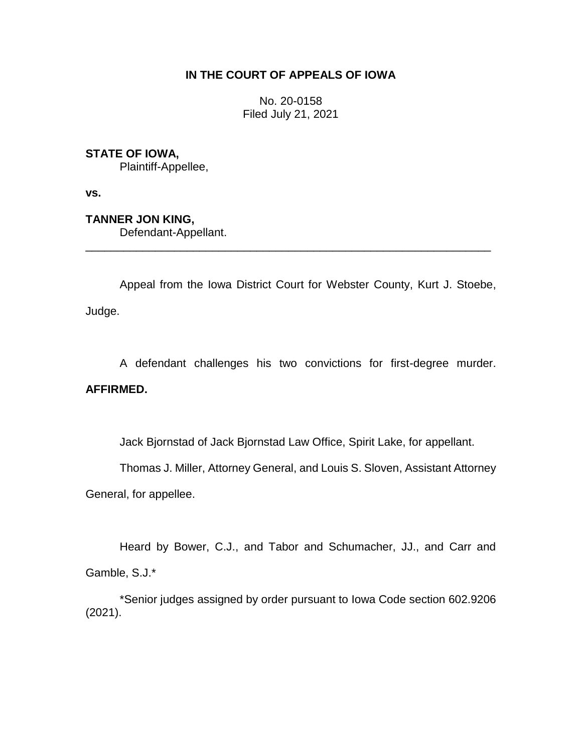# **IN THE COURT OF APPEALS OF IOWA**

No. 20-0158 Filed July 21, 2021

# **STATE OF IOWA,**

Plaintiff-Appellee,

**vs.**

**TANNER JON KING,**

Defendant-Appellant.

Appeal from the Iowa District Court for Webster County, Kurt J. Stoebe, Judge.

\_\_\_\_\_\_\_\_\_\_\_\_\_\_\_\_\_\_\_\_\_\_\_\_\_\_\_\_\_\_\_\_\_\_\_\_\_\_\_\_\_\_\_\_\_\_\_\_\_\_\_\_\_\_\_\_\_\_\_\_\_\_\_\_

A defendant challenges his two convictions for first-degree murder.

## **AFFIRMED.**

Jack Bjornstad of Jack Bjornstad Law Office, Spirit Lake, for appellant.

Thomas J. Miller, Attorney General, and Louis S. Sloven, Assistant Attorney

General, for appellee.

Heard by Bower, C.J., and Tabor and Schumacher, JJ., and Carr and Gamble, S.J.\*

\*Senior judges assigned by order pursuant to Iowa Code section 602.9206 (2021).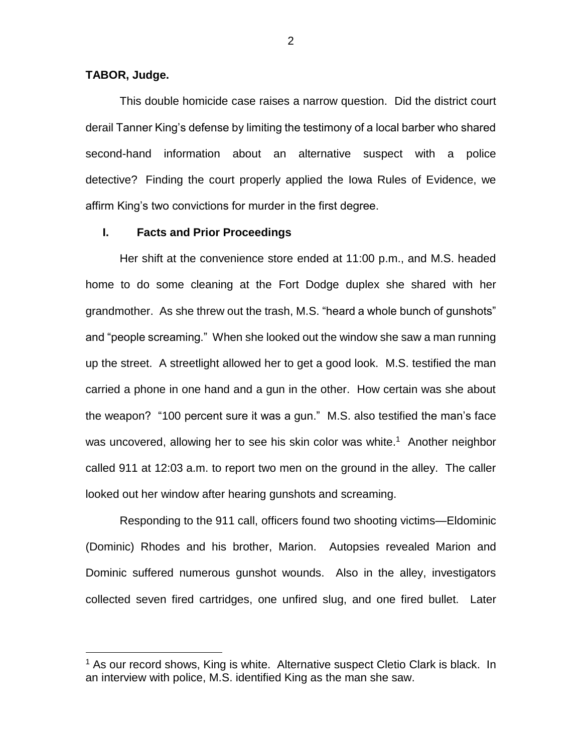### **TABOR, Judge.**

 $\overline{a}$ 

This double homicide case raises a narrow question. Did the district court derail Tanner King's defense by limiting the testimony of a local barber who shared second-hand information about an alternative suspect with a police detective? Finding the court properly applied the Iowa Rules of Evidence, we affirm King's two convictions for murder in the first degree.

## **I. Facts and Prior Proceedings**

Her shift at the convenience store ended at 11:00 p.m., and M.S. headed home to do some cleaning at the Fort Dodge duplex she shared with her grandmother. As she threw out the trash, M.S. "heard a whole bunch of gunshots" and "people screaming." When she looked out the window she saw a man running up the street. A streetlight allowed her to get a good look. M.S. testified the man carried a phone in one hand and a gun in the other. How certain was she about the weapon? "100 percent sure it was a gun." M.S. also testified the man's face was uncovered, allowing her to see his skin color was white.<sup>1</sup> Another neighbor called 911 at 12:03 a.m. to report two men on the ground in the alley. The caller looked out her window after hearing gunshots and screaming.

Responding to the 911 call, officers found two shooting victims—Eldominic (Dominic) Rhodes and his brother, Marion. Autopsies revealed Marion and Dominic suffered numerous gunshot wounds. Also in the alley, investigators collected seven fired cartridges, one unfired slug, and one fired bullet. Later

<sup>&</sup>lt;sup>1</sup> As our record shows, King is white. Alternative suspect Cletio Clark is black. In an interview with police, M.S. identified King as the man she saw.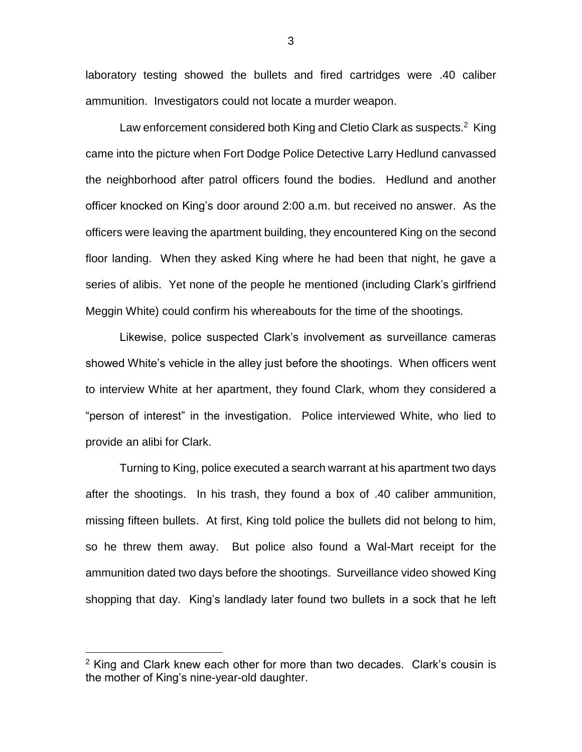laboratory testing showed the bullets and fired cartridges were .40 caliber ammunition. Investigators could not locate a murder weapon.

Law enforcement considered both King and Cletio Clark as suspects.<sup>2</sup> King came into the picture when Fort Dodge Police Detective Larry Hedlund canvassed the neighborhood after patrol officers found the bodies. Hedlund and another officer knocked on King's door around 2:00 a.m. but received no answer. As the officers were leaving the apartment building, they encountered King on the second floor landing. When they asked King where he had been that night, he gave a series of alibis. Yet none of the people he mentioned (including Clark's girlfriend Meggin White) could confirm his whereabouts for the time of the shootings.

Likewise, police suspected Clark's involvement as surveillance cameras showed White's vehicle in the alley just before the shootings. When officers went to interview White at her apartment, they found Clark, whom they considered a "person of interest" in the investigation. Police interviewed White, who lied to provide an alibi for Clark.

Turning to King, police executed a search warrant at his apartment two days after the shootings. In his trash, they found a box of .40 caliber ammunition, missing fifteen bullets. At first, King told police the bullets did not belong to him, so he threw them away. But police also found a Wal-Mart receipt for the ammunition dated two days before the shootings. Surveillance video showed King shopping that day. King's landlady later found two bullets in a sock that he left

 $\overline{a}$ 

<sup>&</sup>lt;sup>2</sup> King and Clark knew each other for more than two decades. Clark's cousin is the mother of King's nine-year-old daughter.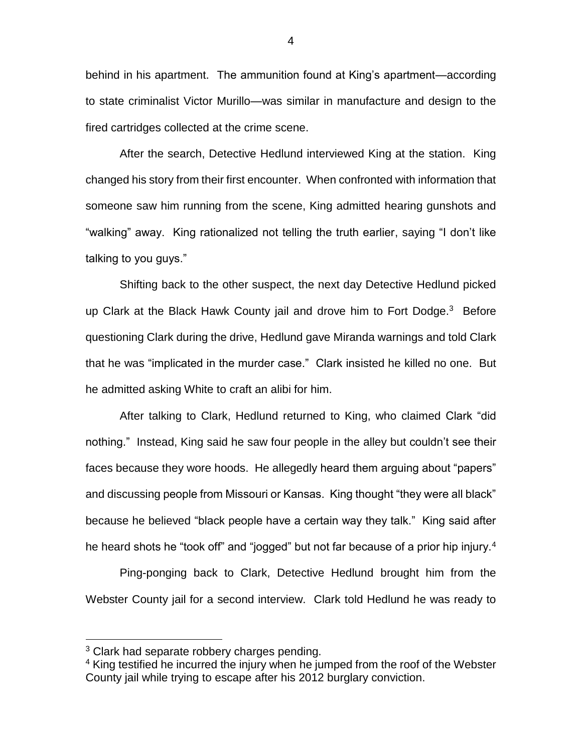behind in his apartment. The ammunition found at King's apartment—according to state criminalist Victor Murillo—was similar in manufacture and design to the fired cartridges collected at the crime scene.

After the search, Detective Hedlund interviewed King at the station. King changed his story from their first encounter. When confronted with information that someone saw him running from the scene, King admitted hearing gunshots and "walking" away. King rationalized not telling the truth earlier, saying "I don't like talking to you guys."

Shifting back to the other suspect, the next day Detective Hedlund picked up Clark at the Black Hawk County jail and drove him to Fort Dodge.<sup>3</sup> Before questioning Clark during the drive, Hedlund gave Miranda warnings and told Clark that he was "implicated in the murder case." Clark insisted he killed no one. But he admitted asking White to craft an alibi for him.

After talking to Clark, Hedlund returned to King, who claimed Clark "did nothing." Instead, King said he saw four people in the alley but couldn't see their faces because they wore hoods. He allegedly heard them arguing about "papers" and discussing people from Missouri or Kansas. King thought "they were all black" because he believed "black people have a certain way they talk." King said after he heard shots he "took off" and "jogged" but not far because of a prior hip injury.<sup>4</sup>

Ping-ponging back to Clark, Detective Hedlund brought him from the Webster County jail for a second interview. Clark told Hedlund he was ready to

<sup>&</sup>lt;sup>3</sup> Clark had separate robbery charges pending.

<sup>4</sup> King testified he incurred the injury when he jumped from the roof of the Webster County jail while trying to escape after his 2012 burglary conviction.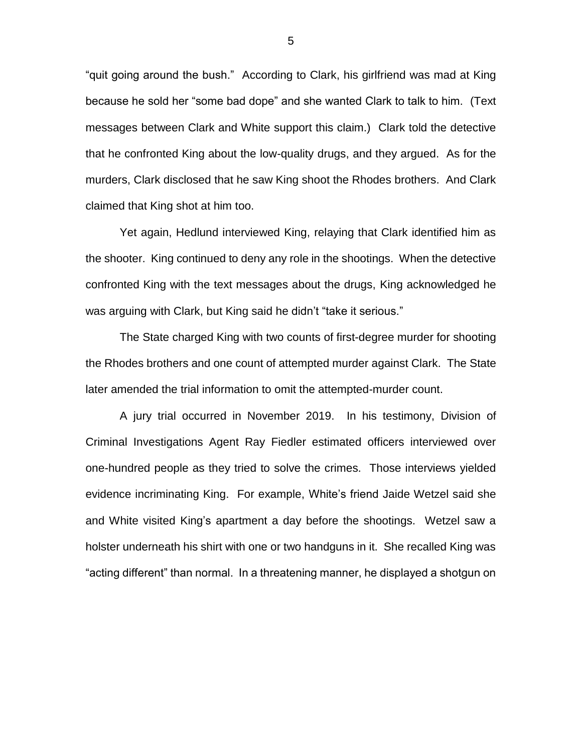"quit going around the bush." According to Clark, his girlfriend was mad at King because he sold her "some bad dope" and she wanted Clark to talk to him. (Text messages between Clark and White support this claim.) Clark told the detective that he confronted King about the low-quality drugs, and they argued. As for the murders, Clark disclosed that he saw King shoot the Rhodes brothers. And Clark claimed that King shot at him too.

Yet again, Hedlund interviewed King, relaying that Clark identified him as the shooter. King continued to deny any role in the shootings. When the detective confronted King with the text messages about the drugs, King acknowledged he was arguing with Clark, but King said he didn't "take it serious."

The State charged King with two counts of first-degree murder for shooting the Rhodes brothers and one count of attempted murder against Clark. The State later amended the trial information to omit the attempted-murder count.

A jury trial occurred in November 2019. In his testimony, Division of Criminal Investigations Agent Ray Fiedler estimated officers interviewed over one-hundred people as they tried to solve the crimes. Those interviews yielded evidence incriminating King. For example, White's friend Jaide Wetzel said she and White visited King's apartment a day before the shootings. Wetzel saw a holster underneath his shirt with one or two handguns in it. She recalled King was "acting different" than normal. In a threatening manner, he displayed a shotgun on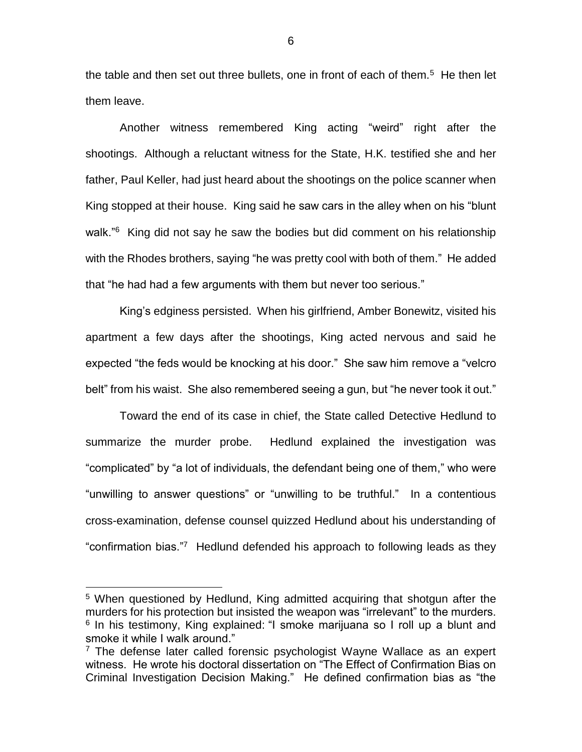the table and then set out three bullets, one in front of each of them.<sup>5</sup> He then let them leave.

Another witness remembered King acting "weird" right after the shootings. Although a reluctant witness for the State, H.K. testified she and her father, Paul Keller, had just heard about the shootings on the police scanner when King stopped at their house. King said he saw cars in the alley when on his "blunt walk."<sup>6</sup> King did not say he saw the bodies but did comment on his relationship with the Rhodes brothers, saying "he was pretty cool with both of them." He added that "he had had a few arguments with them but never too serious."

King's edginess persisted. When his girlfriend, Amber Bonewitz, visited his apartment a few days after the shootings, King acted nervous and said he expected "the feds would be knocking at his door." She saw him remove a "velcro belt" from his waist. She also remembered seeing a gun, but "he never took it out."

Toward the end of its case in chief, the State called Detective Hedlund to summarize the murder probe. Hedlund explained the investigation was "complicated" by "a lot of individuals, the defendant being one of them," who were "unwilling to answer questions" or "unwilling to be truthful." In a contentious cross-examination, defense counsel quizzed Hedlund about his understanding of "confirmation bias."<sup>7</sup> Hedlund defended his approach to following leads as they

<sup>5</sup> When questioned by Hedlund, King admitted acquiring that shotgun after the murders for his protection but insisted the weapon was "irrelevant" to the murders. <sup>6</sup> In his testimony, King explained: "I smoke marijuana so I roll up a blunt and smoke it while I walk around."

 $7$  The defense later called forensic psychologist Wayne Wallace as an expert witness. He wrote his doctoral dissertation on "The Effect of Confirmation Bias on Criminal Investigation Decision Making." He defined confirmation bias as "the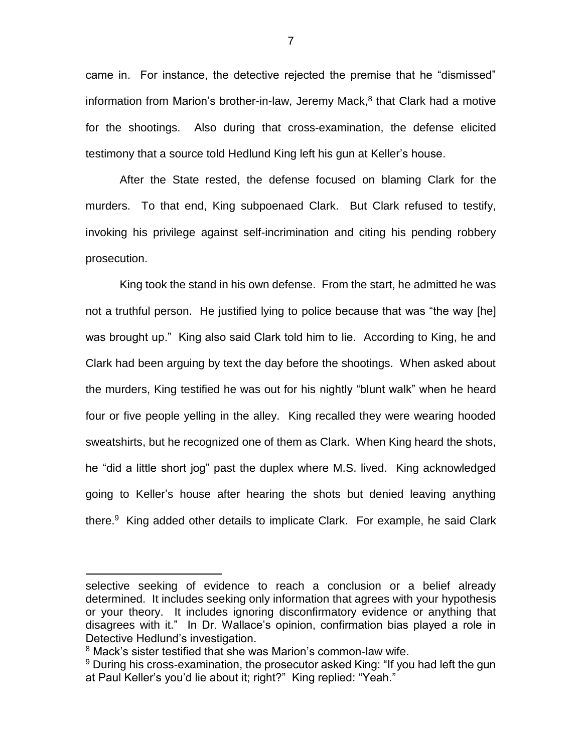came in. For instance, the detective rejected the premise that he "dismissed" information from Marion's brother-in-law, Jeremy Mack, 8 that Clark had a motive for the shootings. Also during that cross-examination, the defense elicited testimony that a source told Hedlund King left his gun at Keller's house.

After the State rested, the defense focused on blaming Clark for the murders. To that end, King subpoenaed Clark. But Clark refused to testify, invoking his privilege against self-incrimination and citing his pending robbery prosecution.

King took the stand in his own defense. From the start, he admitted he was not a truthful person. He justified lying to police because that was "the way [he] was brought up." King also said Clark told him to lie. According to King, he and Clark had been arguing by text the day before the shootings. When asked about the murders, King testified he was out for his nightly "blunt walk" when he heard four or five people yelling in the alley. King recalled they were wearing hooded sweatshirts, but he recognized one of them as Clark. When King heard the shots, he "did a little short jog" past the duplex where M.S. lived. King acknowledged going to Keller's house after hearing the shots but denied leaving anything there.<sup>9</sup> King added other details to implicate Clark. For example, he said Clark

selective seeking of evidence to reach a conclusion or a belief already determined. It includes seeking only information that agrees with your hypothesis or your theory. It includes ignoring disconfirmatory evidence or anything that disagrees with it." In Dr. Wallace's opinion, confirmation bias played a role in Detective Hedlund's investigation.

<sup>&</sup>lt;sup>8</sup> Mack's sister testified that she was Marion's common-law wife.

<sup>&</sup>lt;sup>9</sup> During his cross-examination, the prosecutor asked King: "If you had left the gun at Paul Keller's you'd lie about it; right?" King replied: "Yeah."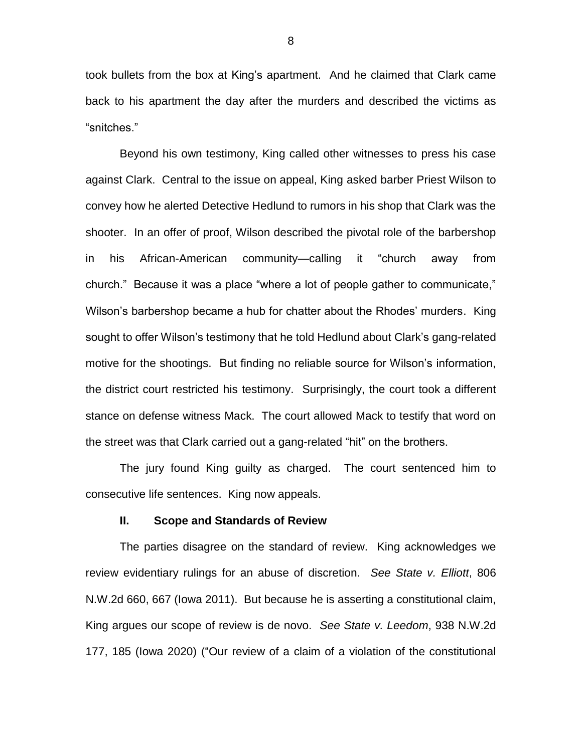took bullets from the box at King's apartment. And he claimed that Clark came back to his apartment the day after the murders and described the victims as "snitches."

Beyond his own testimony, King called other witnesses to press his case against Clark. Central to the issue on appeal, King asked barber Priest Wilson to convey how he alerted Detective Hedlund to rumors in his shop that Clark was the shooter. In an offer of proof, Wilson described the pivotal role of the barbershop in his African-American community—calling it "church away from church." Because it was a place "where a lot of people gather to communicate," Wilson's barbershop became a hub for chatter about the Rhodes' murders. King sought to offer Wilson's testimony that he told Hedlund about Clark's gang-related motive for the shootings. But finding no reliable source for Wilson's information, the district court restricted his testimony. Surprisingly, the court took a different stance on defense witness Mack. The court allowed Mack to testify that word on the street was that Clark carried out a gang-related "hit" on the brothers.

The jury found King guilty as charged. The court sentenced him to consecutive life sentences. King now appeals.

#### **II. Scope and Standards of Review**

The parties disagree on the standard of review. King acknowledges we review evidentiary rulings for an abuse of discretion. *See State v. Elliott*, 806 N.W.2d 660, 667 (Iowa 2011). But because he is asserting a constitutional claim, King argues our scope of review is de novo. *See State v. Leedom*, 938 N.W.2d 177, 185 (Iowa 2020) ("Our review of a claim of a violation of the constitutional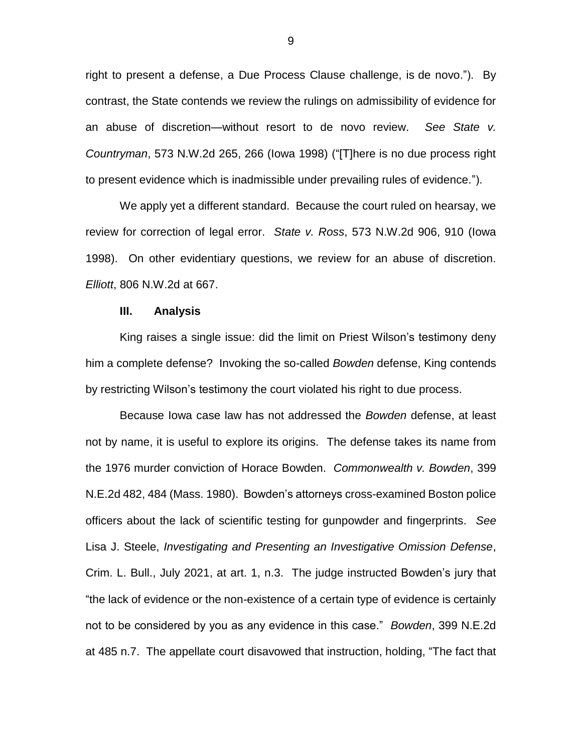right to present a defense, a Due Process Clause challenge, is de novo."). By contrast, the State contends we review the rulings on admissibility of evidence for an abuse of discretion—without resort to de novo review. *See State v. Countryman*, 573 N.W.2d 265, 266 (Iowa 1998) ("[T]here is no due process right to present evidence which is inadmissible under prevailing rules of evidence.").

We apply yet a different standard. Because the court ruled on hearsay, we review for correction of legal error. *State v. Ross*, 573 N.W.2d 906, 910 (Iowa 1998). On other evidentiary questions, we review for an abuse of discretion. *Elliott*, 806 N.W.2d at 667.

### **III. Analysis**

King raises a single issue: did the limit on Priest Wilson's testimony deny him a complete defense? Invoking the so-called *Bowden* defense, King contends by restricting Wilson's testimony the court violated his right to due process.

Because Iowa case law has not addressed the *Bowden* defense, at least not by name, it is useful to explore its origins. The defense takes its name from the 1976 murder conviction of Horace Bowden. *Commonwealth v. Bowden*, 399 N.E.2d 482, 484 (Mass. 1980). Bowden's attorneys cross-examined Boston police officers about the lack of scientific testing for gunpowder and fingerprints. *See* Lisa J. Steele, *Investigating and Presenting an Investigative Omission Defense*, Crim. L. Bull., July 2021, at art. 1, n.3. The judge instructed Bowden's jury that "the lack of evidence or the non-existence of a certain type of evidence is certainly not to be considered by you as any evidence in this case." *Bowden*, 399 N.E.2d at 485 n.7. The appellate court disavowed that instruction, holding, "The fact that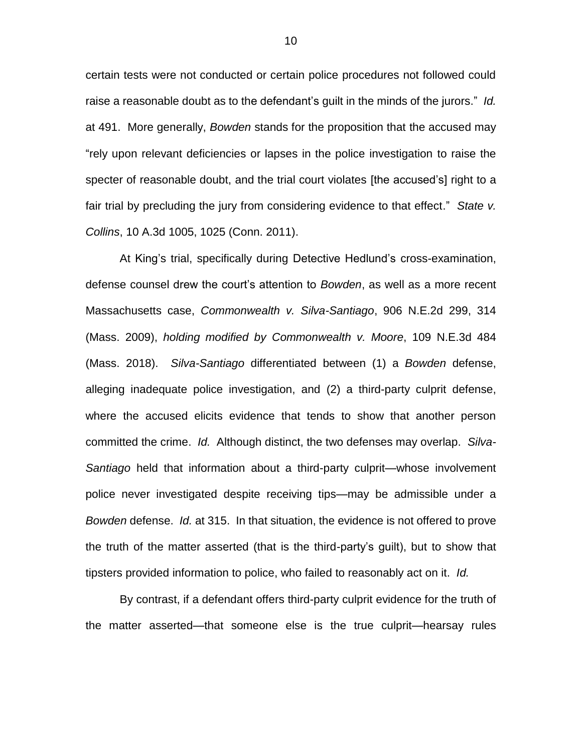certain tests were not conducted or certain police procedures not followed could raise a reasonable doubt as to the defendant's guilt in the minds of the jurors." *Id.* at 491. More generally, *Bowden* stands for the proposition that the accused may "rely upon relevant deficiencies or lapses in the police investigation to raise the specter of reasonable doubt, and the trial court violates [the accused's] right to a fair trial by precluding the jury from considering evidence to that effect." *State v. Collins*, 10 A.3d 1005, 1025 (Conn. 2011).

At King's trial, specifically during Detective Hedlund's cross-examination, defense counsel drew the court's attention to *Bowden*, as well as a more recent Massachusetts case, *Commonwealth v. Silva-Santiago*, 906 N.E.2d 299, 314 (Mass. 2009), *holding modified by Commonwealth v. Moore*, 109 N.E.3d 484 (Mass. 2018). *Silva-Santiago* differentiated between (1) a *Bowden* defense, alleging inadequate police investigation, and (2) a third-party culprit defense, where the accused elicits evidence that tends to show that another person committed the crime. *Id.* Although distinct, the two defenses may overlap. *Silva-Santiago* held that information about a third-party culprit—whose involvement police never investigated despite receiving tips—may be admissible under a *Bowden* defense. *Id.* at 315. In that situation, the evidence is not offered to prove the truth of the matter asserted (that is the third-party's guilt), but to show that tipsters provided information to police, who failed to reasonably act on it. *Id.*

By contrast, if a defendant offers third-party culprit evidence for the truth of the matter asserted—that someone else is the true culprit—hearsay rules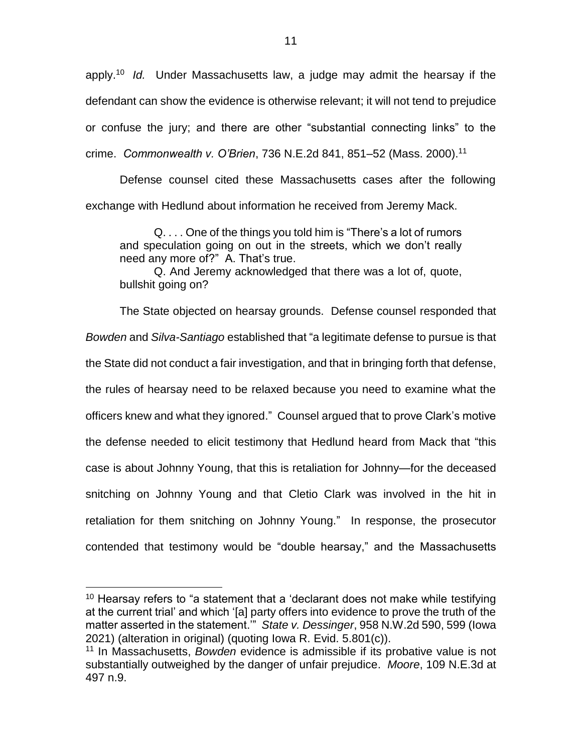apply. <sup>10</sup> *Id.* Under Massachusetts law, a judge may admit the hearsay if the defendant can show the evidence is otherwise relevant; it will not tend to prejudice or confuse the jury; and there are other "substantial connecting links" to the crime. *Commonwealth v. O'Brien*, 736 N.E.2d 841, 851–52 (Mass. 2000). 11

Defense counsel cited these Massachusetts cases after the following exchange with Hedlund about information he received from Jeremy Mack.

Q. . . . One of the things you told him is "There's a lot of rumors and speculation going on out in the streets, which we don't really need any more of?" A. That's true.

Q. And Jeremy acknowledged that there was a lot of, quote, bullshit going on?

The State objected on hearsay grounds. Defense counsel responded that *Bowden* and *Silva-Santiago* established that "a legitimate defense to pursue is that the State did not conduct a fair investigation, and that in bringing forth that defense, the rules of hearsay need to be relaxed because you need to examine what the officers knew and what they ignored." Counsel argued that to prove Clark's motive the defense needed to elicit testimony that Hedlund heard from Mack that "this case is about Johnny Young, that this is retaliation for Johnny—for the deceased snitching on Johnny Young and that Cletio Clark was involved in the hit in retaliation for them snitching on Johnny Young." In response, the prosecutor contended that testimony would be "double hearsay," and the Massachusetts

<sup>&</sup>lt;sup>10</sup> Hearsay refers to "a statement that a 'declarant does not make while testifying at the current trial' and which '[a] party offers into evidence to prove the truth of the matter asserted in the statement.'" *State v. Dessinger*, 958 N.W.2d 590, 599 (Iowa 2021) (alteration in original) (quoting Iowa R. Evid. 5.801(c)).

<sup>11</sup> In Massachusetts, *Bowden* evidence is admissible if its probative value is not substantially outweighed by the danger of unfair prejudice. *Moore*, 109 N.E.3d at 497 n.9.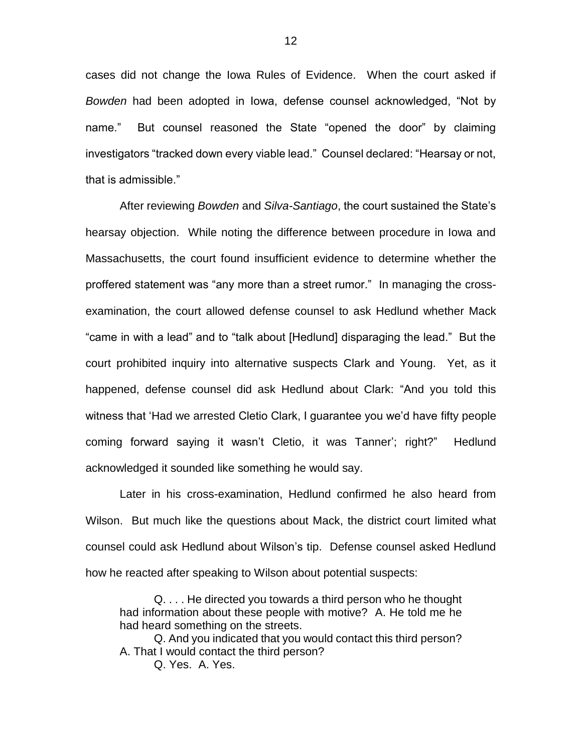cases did not change the Iowa Rules of Evidence. When the court asked if *Bowden* had been adopted in Iowa, defense counsel acknowledged, "Not by name." But counsel reasoned the State "opened the door" by claiming investigators "tracked down every viable lead." Counsel declared: "Hearsay or not, that is admissible."

After reviewing *Bowden* and *Silva-Santiago*, the court sustained the State's hearsay objection. While noting the difference between procedure in Iowa and Massachusetts, the court found insufficient evidence to determine whether the proffered statement was "any more than a street rumor." In managing the crossexamination, the court allowed defense counsel to ask Hedlund whether Mack "came in with a lead" and to "talk about [Hedlund] disparaging the lead." But the court prohibited inquiry into alternative suspects Clark and Young. Yet, as it happened, defense counsel did ask Hedlund about Clark: "And you told this witness that 'Had we arrested Cletio Clark, I guarantee you we'd have fifty people coming forward saying it wasn't Cletio, it was Tanner'; right?" Hedlund acknowledged it sounded like something he would say.

Later in his cross-examination, Hedlund confirmed he also heard from Wilson. But much like the questions about Mack, the district court limited what counsel could ask Hedlund about Wilson's tip. Defense counsel asked Hedlund how he reacted after speaking to Wilson about potential suspects:

Q. . . . He directed you towards a third person who he thought had information about these people with motive? A. He told me he had heard something on the streets.

Q. And you indicated that you would contact this third person? A. That I would contact the third person?

Q. Yes. A. Yes.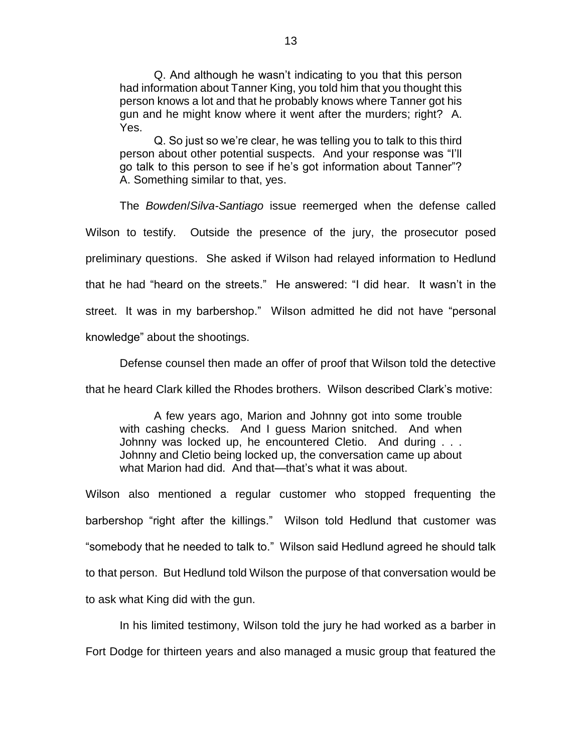Q. And although he wasn't indicating to you that this person had information about Tanner King, you told him that you thought this person knows a lot and that he probably knows where Tanner got his gun and he might know where it went after the murders; right? A. Yes.

Q. So just so we're clear, he was telling you to talk to this third person about other potential suspects. And your response was "I'll go talk to this person to see if he's got information about Tanner"? A. Something similar to that, yes.

The *Bowden*/*Silva-Santiago* issue reemerged when the defense called Wilson to testify. Outside the presence of the jury, the prosecutor posed preliminary questions. She asked if Wilson had relayed information to Hedlund that he had "heard on the streets." He answered: "I did hear. It wasn't in the street. It was in my barbershop." Wilson admitted he did not have "personal knowledge" about the shootings.

Defense counsel then made an offer of proof that Wilson told the detective

that he heard Clark killed the Rhodes brothers. Wilson described Clark's motive:

A few years ago, Marion and Johnny got into some trouble with cashing checks. And I guess Marion snitched. And when Johnny was locked up, he encountered Cletio. And during . . . Johnny and Cletio being locked up, the conversation came up about what Marion had did. And that—that's what it was about.

Wilson also mentioned a regular customer who stopped frequenting the barbershop "right after the killings." Wilson told Hedlund that customer was "somebody that he needed to talk to." Wilson said Hedlund agreed he should talk to that person. But Hedlund told Wilson the purpose of that conversation would be to ask what King did with the gun.

In his limited testimony, Wilson told the jury he had worked as a barber in Fort Dodge for thirteen years and also managed a music group that featured the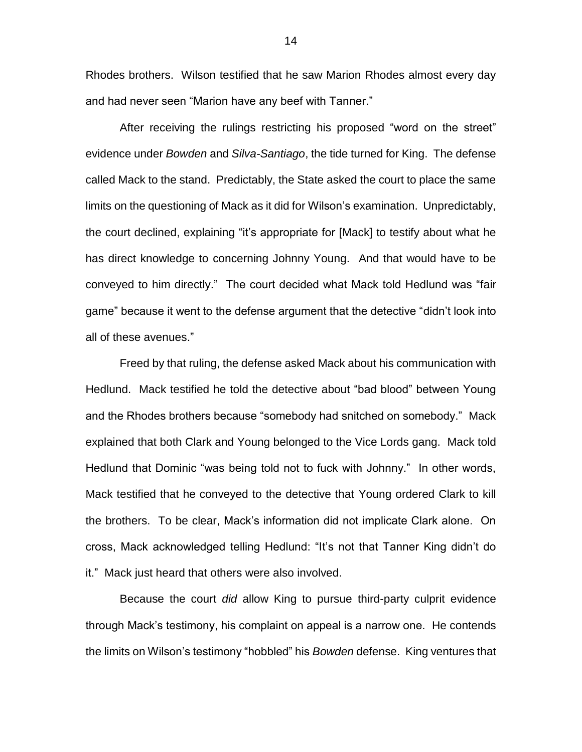Rhodes brothers. Wilson testified that he saw Marion Rhodes almost every day and had never seen "Marion have any beef with Tanner."

After receiving the rulings restricting his proposed "word on the street" evidence under *Bowden* and *Silva-Santiago*, the tide turned for King. The defense called Mack to the stand. Predictably, the State asked the court to place the same limits on the questioning of Mack as it did for Wilson's examination. Unpredictably, the court declined, explaining "it's appropriate for [Mack] to testify about what he has direct knowledge to concerning Johnny Young. And that would have to be conveyed to him directly." The court decided what Mack told Hedlund was "fair game" because it went to the defense argument that the detective "didn't look into all of these avenues."

Freed by that ruling, the defense asked Mack about his communication with Hedlund. Mack testified he told the detective about "bad blood" between Young and the Rhodes brothers because "somebody had snitched on somebody." Mack explained that both Clark and Young belonged to the Vice Lords gang. Mack told Hedlund that Dominic "was being told not to fuck with Johnny." In other words, Mack testified that he conveyed to the detective that Young ordered Clark to kill the brothers. To be clear, Mack's information did not implicate Clark alone. On cross, Mack acknowledged telling Hedlund: "It's not that Tanner King didn't do it." Mack just heard that others were also involved.

Because the court *did* allow King to pursue third-party culprit evidence through Mack's testimony, his complaint on appeal is a narrow one. He contends the limits on Wilson's testimony "hobbled" his *Bowden* defense. King ventures that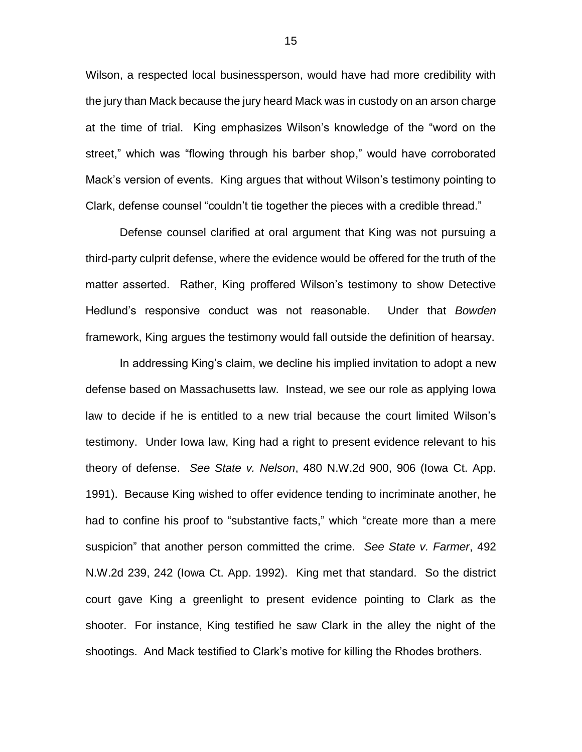Wilson, a respected local businessperson, would have had more credibility with the jury than Mack because the jury heard Mack was in custody on an arson charge at the time of trial. King emphasizes Wilson's knowledge of the "word on the street," which was "flowing through his barber shop," would have corroborated Mack's version of events. King argues that without Wilson's testimony pointing to Clark, defense counsel "couldn't tie together the pieces with a credible thread."

Defense counsel clarified at oral argument that King was not pursuing a third-party culprit defense, where the evidence would be offered for the truth of the matter asserted. Rather, King proffered Wilson's testimony to show Detective Hedlund's responsive conduct was not reasonable. Under that *Bowden* framework, King argues the testimony would fall outside the definition of hearsay.

In addressing King's claim, we decline his implied invitation to adopt a new defense based on Massachusetts law. Instead, we see our role as applying Iowa law to decide if he is entitled to a new trial because the court limited Wilson's testimony. Under Iowa law, King had a right to present evidence relevant to his theory of defense. *See State v. Nelson*, 480 N.W.2d 900, 906 (Iowa Ct. App. 1991). Because King wished to offer evidence tending to incriminate another, he had to confine his proof to "substantive facts," which "create more than a mere suspicion" that another person committed the crime. *See State v. Farmer*, 492 N.W.2d 239, 242 (Iowa Ct. App. 1992). King met that standard. So the district court gave King a greenlight to present evidence pointing to Clark as the shooter. For instance, King testified he saw Clark in the alley the night of the shootings. And Mack testified to Clark's motive for killing the Rhodes brothers.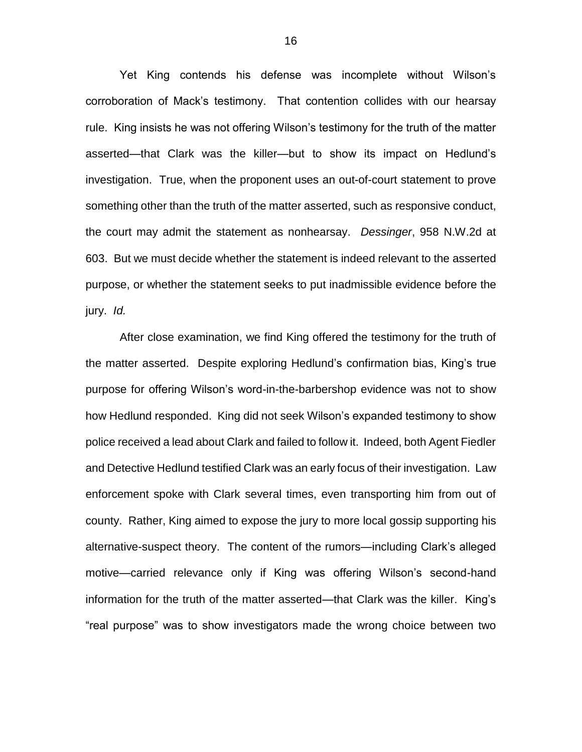Yet King contends his defense was incomplete without Wilson's corroboration of Mack's testimony. That contention collides with our hearsay rule. King insists he was not offering Wilson's testimony for the truth of the matter asserted—that Clark was the killer—but to show its impact on Hedlund's investigation. True, when the proponent uses an out-of-court statement to prove something other than the truth of the matter asserted, such as responsive conduct, the court may admit the statement as nonhearsay. *Dessinger*, 958 N.W.2d at 603. But we must decide whether the statement is indeed relevant to the asserted purpose, or whether the statement seeks to put inadmissible evidence before the jury. *Id.*

After close examination, we find King offered the testimony for the truth of the matter asserted. Despite exploring Hedlund's confirmation bias, King's true purpose for offering Wilson's word-in-the-barbershop evidence was not to show how Hedlund responded. King did not seek Wilson's expanded testimony to show police received a lead about Clark and failed to follow it. Indeed, both Agent Fiedler and Detective Hedlund testified Clark was an early focus of their investigation. Law enforcement spoke with Clark several times, even transporting him from out of county. Rather, King aimed to expose the jury to more local gossip supporting his alternative-suspect theory. The content of the rumors—including Clark's alleged motive—carried relevance only if King was offering Wilson's second-hand information for the truth of the matter asserted—that Clark was the killer. King's "real purpose" was to show investigators made the wrong choice between two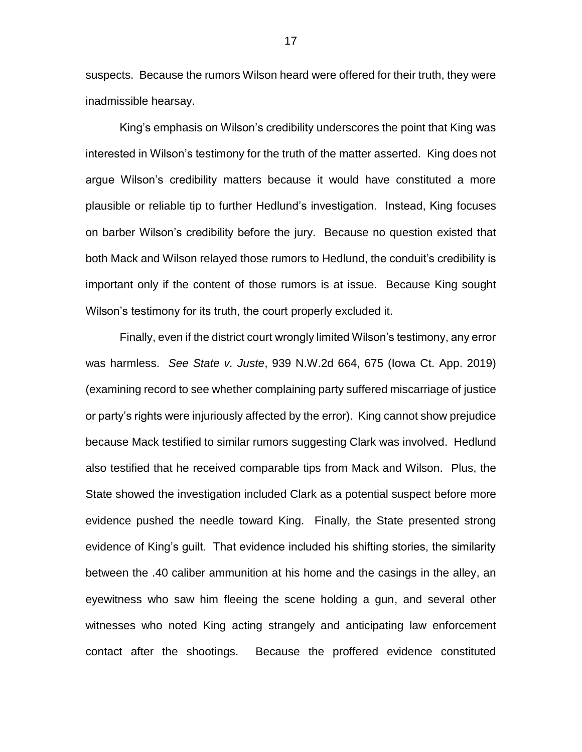suspects. Because the rumors Wilson heard were offered for their truth, they were inadmissible hearsay.

King's emphasis on Wilson's credibility underscores the point that King was interested in Wilson's testimony for the truth of the matter asserted. King does not argue Wilson's credibility matters because it would have constituted a more plausible or reliable tip to further Hedlund's investigation. Instead, King focuses on barber Wilson's credibility before the jury. Because no question existed that both Mack and Wilson relayed those rumors to Hedlund, the conduit's credibility is important only if the content of those rumors is at issue. Because King sought Wilson's testimony for its truth, the court properly excluded it.

Finally, even if the district court wrongly limited Wilson's testimony, any error was harmless. *See State v. Juste*, 939 N.W.2d 664, 675 (Iowa Ct. App. 2019) (examining record to see whether complaining party suffered miscarriage of justice or party's rights were injuriously affected by the error). King cannot show prejudice because Mack testified to similar rumors suggesting Clark was involved. Hedlund also testified that he received comparable tips from Mack and Wilson. Plus, the State showed the investigation included Clark as a potential suspect before more evidence pushed the needle toward King. Finally, the State presented strong evidence of King's guilt. That evidence included his shifting stories, the similarity between the .40 caliber ammunition at his home and the casings in the alley, an eyewitness who saw him fleeing the scene holding a gun, and several other witnesses who noted King acting strangely and anticipating law enforcement contact after the shootings. Because the proffered evidence constituted